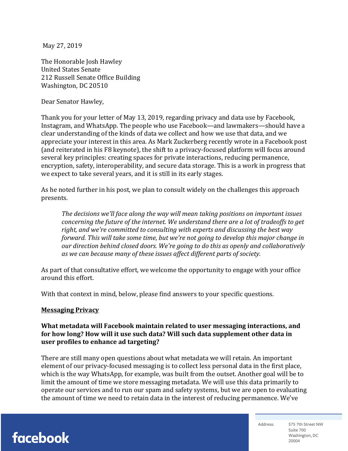May 27, 2019

The Honorable Josh Hawley United States Senate 212 Russell Senate Office Building Washington, DC 20510

Dear Senator Hawley,

Thank you for your letter of May 13, 2019, regarding privacy and data use by Facebook, Instagram, and WhatsApp. The people who use Facebook—and lawmakers—should have a clear understanding of the kinds of data we collect and how we use that data, and we appreciate your interest in this area. As Mark Zuckerberg recently wrote in a Facebook post (and reiterated in his F8 keynote), the shift to a privacy-focused platform will focus around several key principles: creating spaces for private interactions, reducing permanence, encryption, safety, interoperability, and secure data storage. This is a work in progress that we expect to take several years, and it is still in its early stages.

As he noted further in his post, we plan to consult widely on the challenges this approach presents.

The *decisions* we'll face along the way will mean taking positions on important issues *concerning the future of the internet. We understand there are a lot of tradeoffs to get* right, and we're committed to consulting with experts and discussing the best way *forward.* This will take some time, but we're not going to develop this major change in *our direction behind closed doors. We're going to do this as openly and collaboratively* as we can because many of these issues affect different parts of society.

As part of that consultative effort, we welcome the opportunity to engage with your office around this effort.

With that context in mind, below, please find answers to your specific questions.

#### **Messaging Privacy**

What metadata will Facebook maintain related to user messaging interactions, and for how long? How will it use such data? Will such data supplement other data in **user profiles to enhance ad targeting?** 

There are still many open questions about what metadata we will retain. An important element of our privacy-focused messaging is to collect less personal data in the first place, which is the way WhatsApp, for example, was built from the outset. Another goal will be to limit the amount of time we store messaging metadata. We will use this data primarily to operate our services and to run our spam and safety systems, but we are open to evaluating the amount of time we need to retain data in the interest of reducing permanence. We've

facebook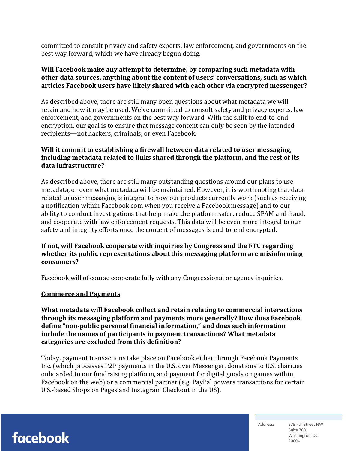committed to consult privacy and safety experts, law enforcement, and governments on the best way forward, which we have already begun doing.

### **Will Facebook make any attempt to determine, by comparing such metadata with** other data sources, anything about the content of users' conversations, such as which articles Facebook users have likely shared with each other via encrypted messenger?

As described above, there are still many open questions about what metadata we will retain and how it may be used. We've committed to consult safety and privacy experts, law enforcement, and governments on the best way forward. With the shift to end-to-end encryption, our goal is to ensure that message content can only be seen by the intended recipients-not hackers, criminals, or even Facebook.

## **Will it commit to establishing a firewall between data related to user messaging,** including metadata related to links shared through the platform, and the rest of its **data infrastructure?**

As described above, there are still many outstanding questions around our plans to use metadata, or even what metadata will be maintained. However, it is worth noting that data related to user messaging is integral to how our products currently work (such as receiving a notification within Facebook.com when you receive a Facebook message) and to our ability to conduct investigations that help make the platform safer, reduce SPAM and fraud, and cooperate with law enforcement requests. This data will be even more integral to our safety and integrity efforts once the content of messages is end-to-end encrypted.

## **If not, will Facebook cooperate with inquiries by Congress and the FTC regarding** whether its public representations about this messaging platform are misinforming **consumers?**

Facebook will of course cooperate fully with any Congressional or agency inquiries.

#### **Commerce and Payments**

What metadata will Facebook collect and retain relating to commercial interactions through its messaging platform and payments more generally? How does Facebook define "non-public personal financial information," and does such information include the names of participants in payment transactions? What metadata categories are excluded from this definition?

Today, payment transactions take place on Facebook either through Facebook Payments Inc. (which processes P2P payments in the U.S. over Messenger, donations to U.S. charities onboarded to our fundraising platform, and payment for digital goods on games within Facebook on the web) or a commercial partner (e.g. PayPal powers transactions for certain U.S.-based Shops on Pages and Instagram Checkout in the US).

facebook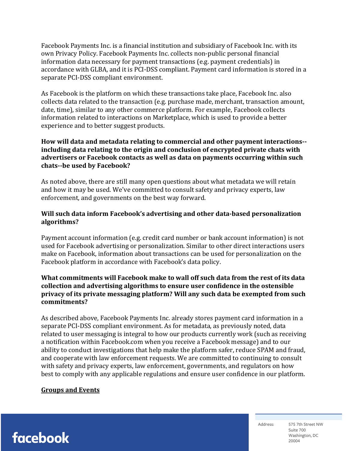Facebook Payments Inc. is a financial institution and subsidiary of Facebook Inc. with its own Privacy Policy. Facebook Payments Inc. collects non-public personal financial information data necessary for payment transactions (e.g. payment credentials) in accordance with GLBA, and it is PCI-DSS compliant. Payment card information is stored in a separate PCI-DSS compliant environment.

As Facebook is the platform on which these transactions take place, Facebook Inc. also collects data related to the transaction (e.g. purchase made, merchant, transaction amount, date, time), similar to any other commerce platform. For example, Facebook collects information related to interactions on Marketplace, which is used to provide a better experience and to better suggest products.

### **How** will data and metadata relating to commercial and other payment interactions-including data relating to the origin and conclusion of encrypted private chats with advertisers or Facebook contacts as well as data on payments occurring within such chats--be used by Facebook?

As noted above, there are still many open questions about what metadata we will retain and how it may be used. We've committed to consult safety and privacy experts, law enforcement, and governments on the best way forward.

### **Will such data inform Facebook's advertising and other data-based personalization algorithms?**

Payment account information (e.g. credit card number or bank account information) is not used for Facebook advertising or personalization. Similar to other direct interactions users make on Facebook, information about transactions can be used for personalization on the Facebook platform in accordance with Facebook's data policy.

### **What commitments will Facebook make to wall off such data from the rest of its data** collection and advertising algorithms to ensure user confidence in the ostensible **privacy of its private messaging platform? Will any such data be exempted from such commitments?**

As described above, Facebook Payments Inc. already stores payment card information in a separate PCI-DSS compliant environment. As for metadata, as previously noted, data related to user messaging is integral to how our products currently work (such as receiving a notification within Facebook.com when you receive a Facebook message) and to our ability to conduct investigations that help make the platform safer, reduce SPAM and fraud, and cooperate with law enforcement requests. We are committed to continuing to consult with safety and privacy experts, law enforcement, governments, and regulators on how best to comply with any applicable regulations and ensure user confidence in our platform.

#### **Groups and Events**

facebook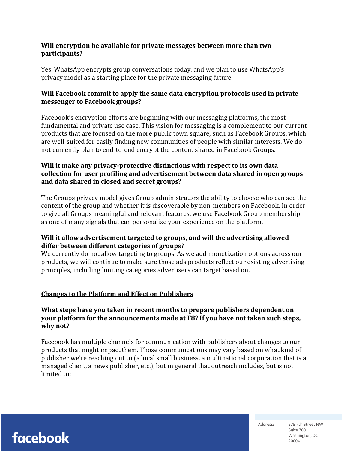## **Will encryption be available for private messages between more than two participants?**

Yes. WhatsApp encrypts group conversations today, and we plan to use WhatsApp's privacy model as a starting place for the private messaging future.

# **Will Facebook commit to apply the same data encryption protocols used in private messenger to Facebook groups?**

Facebook's encryption efforts are beginning with our messaging platforms, the most fundamental and private use case. This vision for messaging is a complement to our current products that are focused on the more public town square, such as Facebook Groups, which are well-suited for easily finding new communities of people with similar interests. We do not currently plan to end-to-end encrypt the content shared in Facebook Groups.

# **Will it make any privacy-protective distinctions with respect to its own data** collection for user profiling and advertisement between data shared in open groups and data shared in closed and secret groups?

The Groups privacy model gives Group administrators the ability to choose who can see the content of the group and whether it is discoverable by non-members on Facebook. In order to give all Groups meaningful and relevant features, we use Facebook Group membership as one of many signals that can personalize your experience on the platform.

## Will it allow advertisement targeted to groups, and will the advertising allowed differ between different categories of groups?

We currently do not allow targeting to groups. As we add monetization options across our products, we will continue to make sure those ads products reflect our existing advertising principles, including limiting categories advertisers can target based on.

# **Changes to the Platform and Effect on Publishers**

## What steps have you taken in recent months to prepare publishers dependent on **your platform for the announcements made at F8? If you have not taken such steps,** why not?

Facebook has multiple channels for communication with publishers about changes to our products that might impact them. Those communications may vary based on what kind of publisher we're reaching out to (a local small business, a multinational corporation that is a managed client, a news publisher, etc.), but in general that outreach includes, but is not limited to: